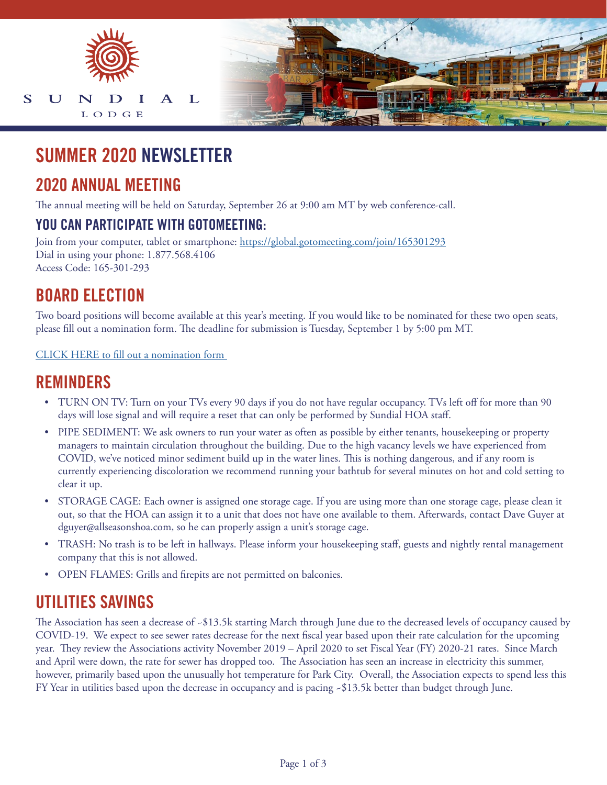

# **SUMMER 2020 NEWSLETTER**

## **2020 ANNUAL MEETING**

The annual meeting will be held on Saturday, September 26 at 9:00 am MT by web conference-call.

#### **YOU CAN PARTICIPATE WITH GOTOMEETING:**

Join from your computer, tablet or smartphone: <https://global.gotomeeting.com/join/165301293> Dial in using your phone: 1.877.568.4106 Access Code: 165-301-293

## **BOARD ELECTION**

Two board positions will become available at this year's meeting. If you would like to be nominated for these two open seats, please fill out a nomination form. The deadline for submission is Tuesday, September 1 by 5:00 pm MT.

[CLICK HERE to fill out a nomination form](https://www.allseasonsresortlodging.com/wp-content/uploads/2020/08/TEST-SUNDIAL_BOD-TRUSTEE_FORM_2020.pdf) 

### **REMINDERS**

- TURN ON TV: Turn on your TVs every 90 days if you do not have regular occupancy. TVs left off for more than 90 days will lose signal and will require a reset that can only be performed by Sundial HOA staff.
- PIPE SEDIMENT: We ask owners to run your water as often as possible by either tenants, housekeeping or property managers to maintain circulation throughout the building. Due to the high vacancy levels we have experienced from COVID, we've noticed minor sediment build up in the water lines. This is nothing dangerous, and if any room is currently experiencing discoloration we recommend running your bathtub for several minutes on hot and cold setting to clear it up.
- STORAGE CAGE: Each owner is assigned one storage cage. If you are using more than one storage cage, please clean it out, so that the HOA can assign it to a unit that does not have one available to them. Afterwards, contact Dave Guyer at dguyer@allseasonshoa.com, so he can properly assign a unit's storage cage.
- TRASH: No trash is to be left in hallways. Please inform your housekeeping staff, guests and nightly rental management company that this is not allowed.
- OPEN FLAMES: Grills and firepits are not permitted on balconies.

## **UTILITIES SAVINGS**

The Association has seen a decrease of ~\$13.5k starting March through June due to the decreased levels of occupancy caused by COVID-19. We expect to see sewer rates decrease for the next fiscal year based upon their rate calculation for the upcoming year. They review the Associations activity November 2019 – April 2020 to set Fiscal Year (FY) 2020-21 rates. Since March and April were down, the rate for sewer has dropped too. The Association has seen an increase in electricity this summer, however, primarily based upon the unusually hot temperature for Park City. Overall, the Association expects to spend less this FY Year in utilities based upon the decrease in occupancy and is pacing ~\$13.5k better than budget through June.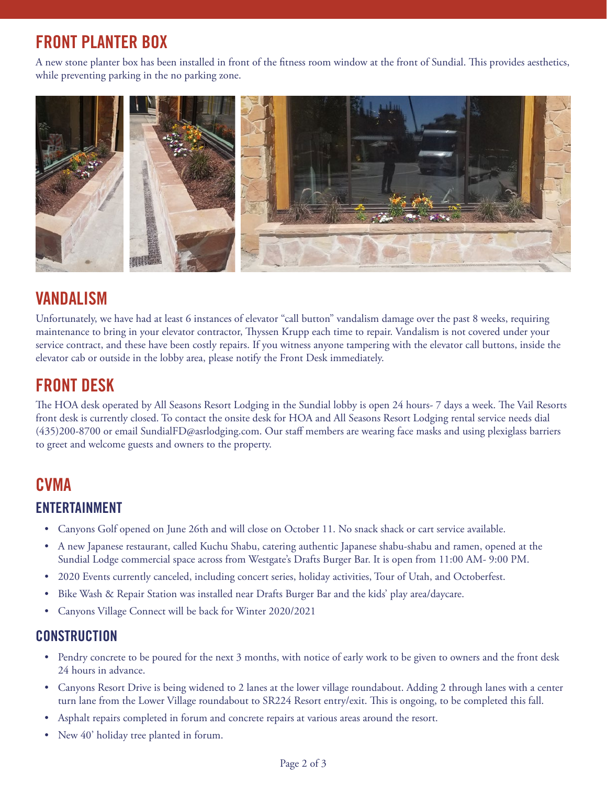# **FRONT PLANTER BOX**

A new stone planter box has been installed in front of the fitness room window at the front of Sundial. This provides aesthetics, while preventing parking in the no parking zone.



## **VANDALISM**

Unfortunately, we have had at least 6 instances of elevator "call button" vandalism damage over the past 8 weeks, requiring maintenance to bring in your elevator contractor, Thyssen Krupp each time to repair. Vandalism is not covered under your service contract, and these have been costly repairs. If you witness anyone tampering with the elevator call buttons, inside the elevator cab or outside in the lobby area, please notify the Front Desk immediately.

# **FRONT DESK**

The HOA desk operated by All Seasons Resort Lodging in the Sundial lobby is open 24 hours- 7 days a week. The Vail Resorts front desk is currently closed. To contact the onsite desk for HOA and All Seasons Resort Lodging rental service needs dial (435)200-8700 or email SundialFD@asrlodging.com. Our staff members are wearing face masks and using plexiglass barriers to greet and welcome guests and owners to the property.

# **CVMA ENTERTAINMENT**

- Canyons Golf opened on June 26th and will close on October 11. No snack shack or cart service available.
- A new Japanese restaurant, called Kuchu Shabu, catering authentic Japanese shabu-shabu and ramen, opened at the Sundial Lodge commercial space across from Westgate's Drafts Burger Bar. It is open from 11:00 AM- 9:00 PM.
- 2020 Events currently canceled, including concert series, holiday activities, Tour of Utah, and Octoberfest.
- Bike Wash & Repair Station was installed near Drafts Burger Bar and the kids' play area/daycare.
- Canyons Village Connect will be back for Winter 2020/2021

#### **CONSTRUCTION**

- Pendry concrete to be poured for the next 3 months, with notice of early work to be given to owners and the front desk 24 hours in advance.
- Canyons Resort Drive is being widened to 2 lanes at the lower village roundabout. Adding 2 through lanes with a center turn lane from the Lower Village roundabout to SR224 Resort entry/exit. This is ongoing, to be completed this fall.
- Asphalt repairs completed in forum and concrete repairs at various areas around the resort.
- New 40' holiday tree planted in forum.